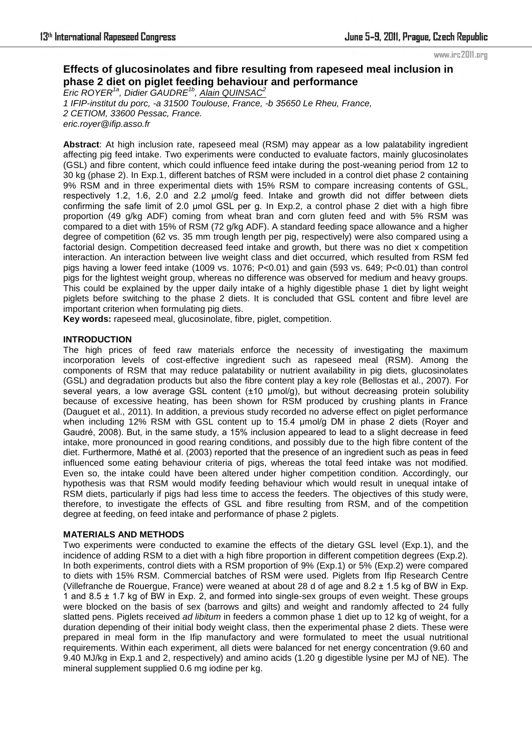# **Effects of glucosinolates and fibre resulting from rapeseed meal inclusion in phase 2 diet on piglet feeding behaviour and performance**

*Eric ROYER1a, Didier GAUDRE1b , Alain QUINSAC<sup>2</sup> 1 IFIP-institut du porc, -a 31500 Toulouse, France, -b 35650 Le Rheu, France, 2 CETIOM, 33600 Pessac, France. eric.royer@ifip.asso.fr* 

**Abstract**: At high inclusion rate, rapeseed meal (RSM) may appear as a low palatability ingredient affecting pig feed intake. Two experiments were conducted to evaluate factors, mainly glucosinolates (GSL) and fibre content, which could influence feed intake during the post-weaning period from 12 to 30 kg (phase 2). In Exp.1, different batches of RSM were included in a control diet phase 2 containing 9% RSM and in three experimental diets with 15% RSM to compare increasing contents of GSL, respectively 1.2, 1.6, 2.0 and 2.2 µmol/g feed. Intake and growth did not differ between diets confirming the safe limit of 2.0 µmol GSL per g. In Exp.2, a control phase 2 diet with a high fibre proportion (49 g/kg ADF) coming from wheat bran and corn gluten feed and with 5% RSM was compared to a diet with 15% of RSM (72 g/kg ADF). A standard feeding space allowance and a higher degree of competition (62 vs. 35 mm trough length per pig, respectively) were also compared using a factorial design. Competition decreased feed intake and growth, but there was no diet x competition interaction. An interaction between live weight class and diet occurred, which resulted from RSM fed pigs having a lower feed intake (1009 vs. 1076;  $P<0.01$ ) and gain (593 vs. 649;  $P<0.01$ ) than control pigs for the lightest weight group, whereas no difference was observed for medium and heavy groups. This could be explained by the upper daily intake of a highly digestible phase 1 diet by light weight piglets before switching to the phase 2 diets. It is concluded that GSL content and fibre level are important criterion when formulating pig diets.

**Key words:** rapeseed meal, glucosinolate, fibre, piglet, competition.

### **INTRODUCTION**

The high prices of feed raw materials enforce the necessity of investigating the maximum incorporation levels of cost-effective ingredient such as rapeseed meal (RSM). Among the components of RSM that may reduce palatability or nutrient availability in pig diets, glucosinolates (GSL) and degradation products but also the fibre content play a key role (Bellostas et al., 2007). For several years, a low average GSL content (±10 µmol/g), but without decreasing protein solubility because of excessive heating, has been shown for RSM produced by crushing plants in France (Dauguet et al., 2011). In addition, a previous study recorded no adverse effect on piglet performance when including 12% RSM with GSL content up to 15.4 µmol/g DM in phase 2 diets (Royer and Gaudré, 2008). But, in the same study, a 15% inclusion appeared to lead to a slight decrease in feed intake, more pronounced in good rearing conditions, and possibly due to the high fibre content of the diet. Furthermore, Mathé et al. (2003) reported that the presence of an ingredient such as peas in feed influenced some eating behaviour criteria of pigs, whereas the total feed intake was not modified. Even so, the intake could have been altered under higher competition condition. Accordingly, our hypothesis was that RSM would modify feeding behaviour which would result in unequal intake of RSM diets, particularly if pigs had less time to access the feeders. The objectives of this study were, therefore, to investigate the effects of GSL and fibre resulting from RSM, and of the competition degree at feeding, on feed intake and performance of phase 2 piglets.

## **MATERIALS AND METHODS**

Two experiments were conducted to examine the effects of the dietary GSL level (Exp.1), and the incidence of adding RSM to a diet with a high fibre proportion in different competition degrees (Exp.2). In both experiments, control diets with a RSM proportion of 9% (Exp.1) or 5% (Exp.2) were compared to diets with 15% RSM. Commercial batches of RSM were used. Piglets from Ifip Research Centre (Villefranche de Rouergue, France) were weaned at about 28 d of age and  $8.2 \pm 1.5$  kg of BW in Exp. 1 and 8.5 ± 1.7 kg of BW in Exp. 2, and formed into single-sex groups of even weight. These groups were blocked on the basis of sex (barrows and gilts) and weight and randomly affected to 24 fully slatted pens. Piglets received *ad libitum* in feeders a common phase 1 diet up to 12 kg of weight, for a duration depending of their initial body weight class, then the experimental phase 2 diets. These were prepared in meal form in the Ifip manufactory and were formulated to meet the usual nutritional requirements. Within each experiment, all diets were balanced for net energy concentration (9.60 and 9.40 MJ/kg in Exp.1 and 2, respectively) and amino acids (1.20 g digestible lysine per MJ of NE). The mineral supplement supplied 0.6 mg iodine per kg.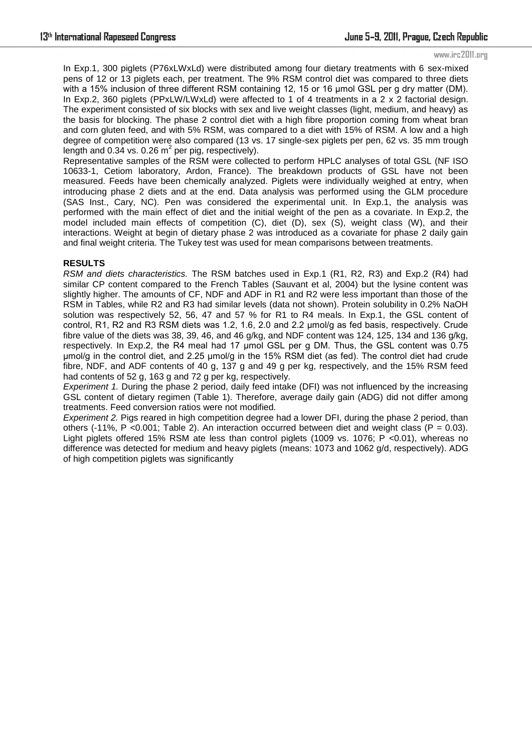In Exp.1, 300 piglets (P76xLWxLd) were distributed among four dietary treatments with 6 sex-mixed pens of 12 or 13 piglets each, per treatment. The 9% RSM control diet was compared to three diets with a 15% inclusion of three different RSM containing 12, 15 or 16 µmol GSL per g dry matter (DM). In Exp.2, 360 piglets (PPxLW/LWxLd) were affected to 1 of 4 treatments in a 2 x 2 factorial design. The experiment consisted of six blocks with sex and live weight classes (light, medium, and heavy) as the basis for blocking. The phase 2 control diet with a high fibre proportion coming from wheat bran and corn gluten feed, and with 5% RSM, was compared to a diet with 15% of RSM. A low and a high degree of competition were also compared (13 vs. 17 single-sex piglets per pen, 62 vs. 35 mm trough length and 0.34 vs. 0.26  $m^2$  per pig, respectively).

Representative samples of the RSM were collected to perform HPLC analyses of total GSL (NF ISO 10633-1, Cetiom laboratory, Ardon, France). The breakdown products of GSL have not been measured. Feeds have been chemically analyzed. Piglets were individually weighed at entry, when introducing phase 2 diets and at the end. Data analysis was performed using the GLM procedure (SAS Inst., Cary, NC). Pen was considered the experimental unit. In Exp.1, the analysis was performed with the main effect of diet and the initial weight of the pen as a covariate. In Exp.2, the model included main effects of competition (C), diet (D), sex (S), weight class (W), and their interactions. Weight at begin of dietary phase 2 was introduced as a covariate for phase 2 daily gain and final weight criteria. The Tukey test was used for mean comparisons between treatments.

#### **RESULTS**

*RSM and diets characteristics.* The RSM batches used in Exp.1 (R1, R2, R3) and Exp.2 (R4) had similar CP content compared to the French Tables (Sauvant et al, 2004) but the lysine content was slightly higher. The amounts of CF, NDF and ADF in R1 and R2 were less important than those of the RSM in Tables, while R2 and R3 had similar levels (data not shown). Protein solubility in 0.2% NaOH solution was respectively 52, 56, 47 and 57 % for R1 to R4 meals. In Exp.1, the GSL content of control, R1, R2 and R3 RSM diets was 1.2, 1.6, 2.0 and 2.2 µmol/g as fed basis, respectively. Crude fibre value of the diets was 38, 39, 46, and 46 g/kg, and NDF content was 124, 125, 134 and 136 g/kg, respectively. In Exp.2, the R4 meal had 17 umol GSL per g DM. Thus, the GSL content was 0.75 μmol/g in the control diet, and 2.25 μmol/g in the 15% RSM diet (as fed). The control diet had crude fibre, NDF, and ADF contents of 40 g, 137 g and 49 g per kg, respectively, and the 15% RSM feed had contents of 52 g, 163 g and 72 g per kg, respectively.

*Experiment 1.* During the phase 2 period, daily feed intake (DFI) was not influenced by the increasing GSL content of dietary regimen (Table 1). Therefore, average daily gain (ADG) did not differ among treatments. Feed conversion ratios were not modified.

*Experiment 2.* Pigs reared in high competition degree had a lower DFI, during the phase 2 period, than others (-11%, P <0.001; Table 2). An interaction occurred between diet and weight class (P = 0.03). Light piglets offered 15% RSM ate less than control piglets (1009 vs. 1076; P <0.01), whereas no difference was detected for medium and heavy piglets (means: 1073 and 1062 g/d, respectively). ADG of high competition piglets was significantly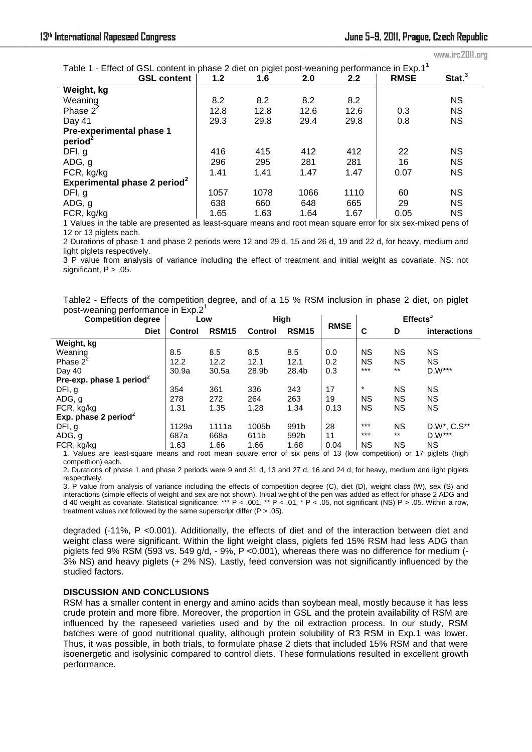| Table 1 - Effect of GSL content in phase 2 diet on piglet post-weaning performance in Exp.1 <sup>1</sup> |      |      |      |      |             |                    |  |  |  |  |  |
|----------------------------------------------------------------------------------------------------------|------|------|------|------|-------------|--------------------|--|--|--|--|--|
| <b>GSL content</b>                                                                                       | 1.2  | 1.6  | 2.0  | 2.2  | <b>RMSE</b> | $\mathsf{Stat.}^3$ |  |  |  |  |  |
| Weight, kg                                                                                               |      |      |      |      |             |                    |  |  |  |  |  |
| Weaning                                                                                                  | 8.2  | 8.2  | 8.2  | 8.2  |             | <b>NS</b>          |  |  |  |  |  |
| Phase $2^2$                                                                                              | 12.8 | 12.8 | 12.6 | 12.6 | 0.3         | <b>NS</b>          |  |  |  |  |  |
| Day 41                                                                                                   | 29.3 | 29.8 | 29.4 | 29.8 | 0.8         | <b>NS</b>          |  |  |  |  |  |
| Pre-experimental phase 1                                                                                 |      |      |      |      |             |                    |  |  |  |  |  |
| period                                                                                                   |      |      |      |      |             |                    |  |  |  |  |  |
| DFI, g                                                                                                   | 416  | 415  | 412  | 412  | 22          | <b>NS</b>          |  |  |  |  |  |
| ADG, g                                                                                                   | 296  | 295  | 281  | 281  | 16          | <b>NS</b>          |  |  |  |  |  |
| FCR, kg/kg                                                                                               | 1.41 | 1.41 | 1.47 | 1.47 | 0.07        | <b>NS</b>          |  |  |  |  |  |
| Experimental phase 2 period <sup>2</sup>                                                                 |      |      |      |      |             |                    |  |  |  |  |  |
| DFI, g                                                                                                   | 1057 | 1078 | 1066 | 1110 | 60          | <b>NS</b>          |  |  |  |  |  |
| ADG, g                                                                                                   | 638  | 660  | 648  | 665  | 29          | <b>NS</b>          |  |  |  |  |  |
| FCR, kg/kg                                                                                               | 1.65 | 1.63 | 1.64 | 1.67 | 0.05        | ΝS                 |  |  |  |  |  |
|                                                                                                          |      |      |      |      |             |                    |  |  |  |  |  |

1 Values in the table are presented as least-square means and root mean square error for six sex-mixed pens of 12 or 13 piglets each.

2 Durations of phase 1 and phase 2 periods were 12 and 29 d, 15 and 26 d, 19 and 22 d, for heavy, medium and light piglets respectively.

3 P value from analysis of variance including the effect of treatment and initial weight as covariate. NS: not significant,  $P > .05$ .

Table2 - Effects of the competition degree, and of a 15 % RSM inclusion in phase 2 diet, on piglet post-weaning performance in Exp.2<sup>1</sup>

| <b>Competition degree</b>            | Low            |              | High           |              |                        | $E$ ffects <sup>3</sup> |           |                                      |
|--------------------------------------|----------------|--------------|----------------|--------------|------------------------|-------------------------|-----------|--------------------------------------|
| <b>Diet</b>                          | <b>Control</b> | <b>RSM15</b> | <b>Control</b> | <b>RSM15</b> | <b>RMSE</b>            | C                       | D         | <b>interactions</b>                  |
| Weight, kg                           |                |              |                |              |                        |                         |           |                                      |
| Weaning                              | 8.5            | 8.5          | 8.5            | 8.5          | 0.0                    | NS                      | <b>NS</b> | <b>NS</b>                            |
| Phase $2^2$                          | 12.2           | 12.2         | 12.1           | 12.1         | 0.2                    | <b>NS</b>               | <b>NS</b> | NS.                                  |
| Day 40                               | 30.9a          | 30.5a        | 28.9b          | 28.4b        | 0.3                    | $***$                   | $***$     | $D.W***$                             |
| Pre-exp. phase 1 period <sup>2</sup> |                |              |                |              |                        |                         |           |                                      |
| DFI, g                               | 354            | 361          | 336            | 343          | 17                     | $\ast$                  | <b>NS</b> | <b>NS</b>                            |
| ADG, g                               | 278            | 272          | 264            | 263          | 19                     | <b>NS</b>               | <b>NS</b> | <b>NS</b>                            |
| FCR, kg/kg                           | 1.31           | 1.35         | 1.28           | 1.34         | 0.13                   | <b>NS</b>               | <b>NS</b> | <b>NS</b>                            |
| Exp. phase 2 period <sup>2</sup>     |                |              |                |              |                        |                         |           |                                      |
| DFI, g                               | 1129a          | 1111a        | 1005b          | 991b         | 28                     | $***$                   | ΝS        | D.W*, C.S**                          |
| ADG, g                               | 687a           | 668a         | 611b           | 592b         | 11                     | $***$                   | $***$     | $D.W***$                             |
| FCR, kg/kg                           | 1.63           | 1.66         | 1.66           | 1.68         | 0.04<br>$1.40$ $(1.1)$ | <b>NS</b>               | <b>NS</b> | <b>NS</b><br>せぜっこう しょうほう こうこしょう ひきこし |

1. Values are least-square means and root mean square error of six pens of 13 (low competition) or 17 piglets (high competition) each.

2. Durations of phase 1 and phase 2 periods were 9 and 31 d, 13 and 27 d, 16 and 24 d, for heavy, medium and light piglets respectively.

3. P value from analysis of variance including the effects of competition degree (C), diet (D), weight class (W), sex (S) and interactions (simple effects of weight and sex are not shown). Initial weight of the pen was added as effect for phase 2 ADG and d 40 weight as covariate. Statistical significance: \*\*\* P < .001, \*\* P < .01, \* P < .05, not significant (NS) P > .05. Within a row, treatment values not followed by the same superscript differ (P > .05).

degraded (-11%, P <0.001). Additionally, the effects of diet and of the interaction between diet and weight class were significant. Within the light weight class, piglets fed 15% RSM had less ADG than piglets fed 9% RSM (593 vs. 549 g/d, - 9%, P < 0.001), whereas there was no difference for medium (-3% NS) and heavy piglets (+ 2% NS). Lastly, feed conversion was not significantly influenced by the studied factors.

#### **DISCUSSION AND CONCLUSIONS**

RSM has a smaller content in energy and amino acids than soybean meal, mostly because it has less crude protein and more fibre. Moreover, the proportion in GSL and the protein availability of RSM are influenced by the rapeseed varieties used and by the oil extraction process. In our study, RSM batches were of good nutritional quality, although protein solubility of R3 RSM in Exp.1 was lower. Thus, it was possible, in both trials, to formulate phase 2 diets that included 15% RSM and that were isoenergetic and isolysinic compared to control diets. These formulations resulted in excellent growth performance.